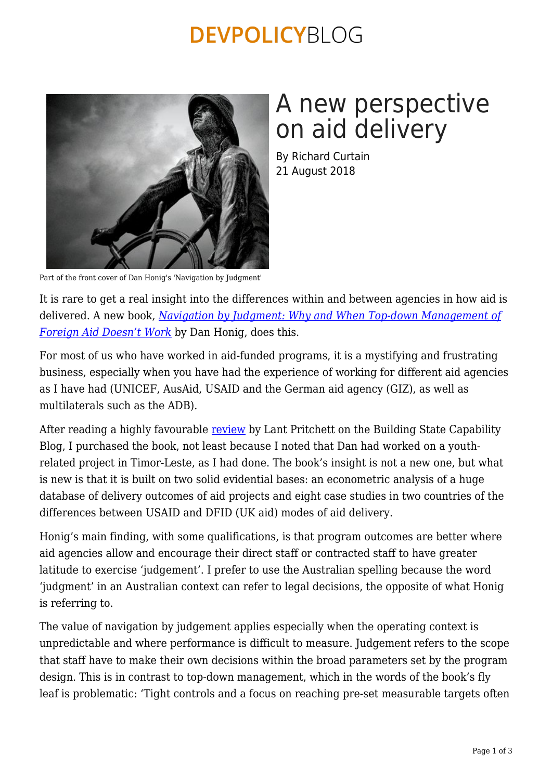### **DEVPOLICYBLOG**



# A new perspective on aid delivery

By Richard Curtain 21 August 2018

Part of the front cover of Dan Honig's 'Navigation by Judgment'

It is rare to get a real insight into the differences within and between agencies in how aid is delivered. A new book, *[Navigation by Judgment: Why and When Top-down Management of](https://global.oup.com/academic/product/navigation-by-judgment-9780190672454?cc=au&lang=en&) [Foreign Aid Doesn't Work](https://global.oup.com/academic/product/navigation-by-judgment-9780190672454?cc=au&lang=en&)* by Dan Honig, does this.

For most of us who have worked in aid-funded programs, it is a mystifying and frustrating business, especially when you have had the experience of working for different aid agencies as I have had (UNICEF, AusAid, USAID and the German aid agency (GIZ), as well as multilaterals such as the ADB).

After reading a highly favourable [review](https://buildingstatecapability.com/2018/06/28/account-based-accountability-and-aid-effectiveness/) by Lant Pritchett on the Building State Capability Blog, I purchased the book, not least because I noted that Dan had worked on a youthrelated project in Timor-Leste, as I had done. The book's insight is not a new one, but what is new is that it is built on two solid evidential bases: an econometric analysis of a huge database of delivery outcomes of aid projects and eight case studies in two countries of the differences between USAID and DFID (UK aid) modes of aid delivery.

Honig's main finding, with some qualifications, is that program outcomes are better where aid agencies allow and encourage their direct staff or contracted staff to have greater latitude to exercise 'judgement'. I prefer to use the Australian spelling because the word 'judgment' in an Australian context can refer to legal decisions, the opposite of what Honig is referring to.

The value of navigation by judgement applies especially when the operating context is unpredictable and where performance is difficult to measure. Judgement refers to the scope that staff have to make their own decisions within the broad parameters set by the program design. This is in contrast to top-down management, which in the words of the book's fly leaf is problematic: 'Tight controls and a focus on reaching pre-set measurable targets often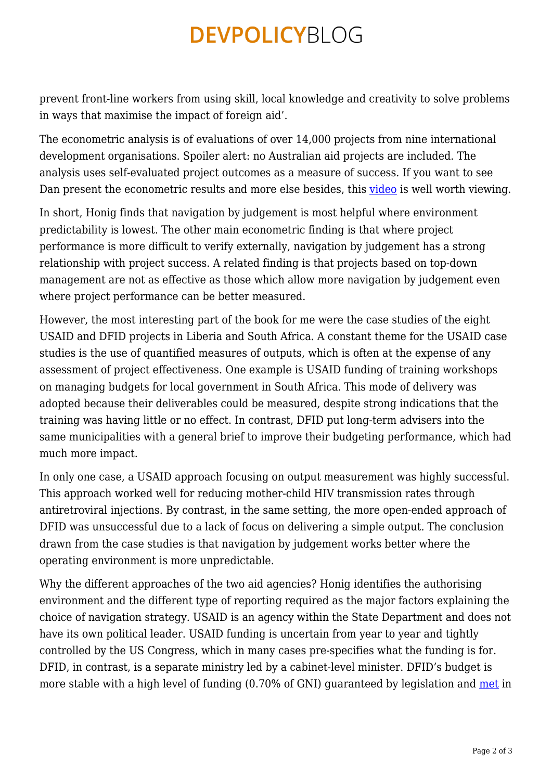### **DEVPOLICYBLOG**

prevent front-line workers from using skill, local knowledge and creativity to solve problems in ways that maximise the impact of foreign aid'.

The econometric analysis is of evaluations of over 14,000 projects from nine international development organisations. Spoiler alert: no Australian aid projects are included. The analysis uses self-evaluated project outcomes as a measure of success. If you want to see Dan present the econometric results and more else besides, this [video](https://www.youtube.com/watch?reload=9&v=bdjeoBFY9Ss) is well worth viewing.

In short, Honig finds that navigation by judgement is most helpful where environment predictability is lowest. The other main econometric finding is that where project performance is more difficult to verify externally, navigation by judgement has a strong relationship with project success. A related finding is that projects based on top-down management are not as effective as those which allow more navigation by judgement even where project performance can be better measured.

However, the most interesting part of the book for me were the case studies of the eight USAID and DFID projects in Liberia and South Africa. A constant theme for the USAID case studies is the use of quantified measures of outputs, which is often at the expense of any assessment of project effectiveness. One example is USAID funding of training workshops on managing budgets for local government in South Africa. This mode of delivery was adopted because their deliverables could be measured, despite strong indications that the training was having little or no effect. In contrast, DFID put long-term advisers into the same municipalities with a general brief to improve their budgeting performance, which had much more impact.

In only one case, a USAID approach focusing on output measurement was highly successful. This approach worked well for reducing mother-child HIV transmission rates through antiretroviral injections. By contrast, in the same setting, the more open-ended approach of DFID was unsuccessful due to a lack of focus on delivering a simple output. The conclusion drawn from the case studies is that navigation by judgement works better where the operating environment is more unpredictable.

Why the different approaches of the two aid agencies? Honig identifies the authorising environment and the different type of reporting required as the major factors explaining the choice of navigation strategy. USAID is an agency within the State Department and does not have its own political leader. USAID funding is uncertain from year to year and tightly controlled by the US Congress, which in many cases pre-specifies what the funding is for. DFID, in contrast, is a separate ministry led by a cabinet-level minister. DFID's budget is more stable with a high level of funding (0.70% of GNI) guaranteed by legislation and [met](http://tinyurl.com/yat42toh) in